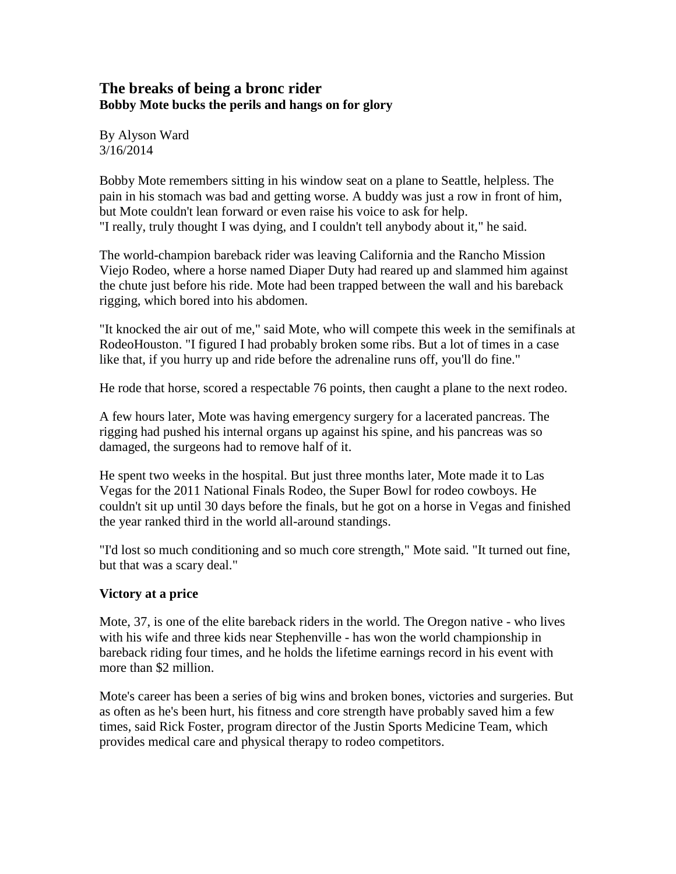# **The breaks of being a bronc rider Bobby Mote bucks the perils and hangs on for glory**

By Alyson Ward 3/16/2014

Bobby Mote remembers sitting in his window seat on a plane to Seattle, helpless. The pain in his stomach was bad and getting worse. A buddy was just a row in front of him, but Mote couldn't lean forward or even raise his voice to ask for help. "I really, truly thought I was dying, and I couldn't tell anybody about it," he said.

The world-champion bareback rider was leaving California and the Rancho Mission Viejo Rodeo, where a horse named Diaper Duty had reared up and slammed him against the chute just before his ride. Mote had been trapped between the wall and his bareback rigging, which bored into his abdomen.

"It knocked the air out of me," said Mote, who will compete this week in the semifinals at RodeoHouston. "I figured I had probably broken some ribs. But a lot of times in a case like that, if you hurry up and ride before the adrenaline runs off, you'll do fine."

He rode that horse, scored a respectable 76 points, then caught a plane to the next rodeo.

A few hours later, Mote was having emergency surgery for a lacerated pancreas. The rigging had pushed his internal organs up against his spine, and his pancreas was so damaged, the surgeons had to remove half of it.

He spent two weeks in the hospital. But just three months later, Mote made it to Las Vegas for the 2011 National Finals Rodeo, the Super Bowl for rodeo cowboys. He couldn't sit up until 30 days before the finals, but he got on a horse in Vegas and finished the year ranked third in the world all-around standings.

"I'd lost so much conditioning and so much core strength," Mote said. "It turned out fine, but that was a scary deal."

## **Victory at a price**

Mote, 37, is one of the elite bareback riders in the world. The Oregon native - who lives with his wife and three kids near Stephenville - has won the world championship in bareback riding four times, and he holds the lifetime earnings record in his event with more than \$2 million.

Mote's career has been a series of big wins and broken bones, victories and surgeries. But as often as he's been hurt, his fitness and core strength have probably saved him a few times, said Rick Foster, program director of the Justin Sports Medicine Team, which provides medical care and physical therapy to rodeo competitors.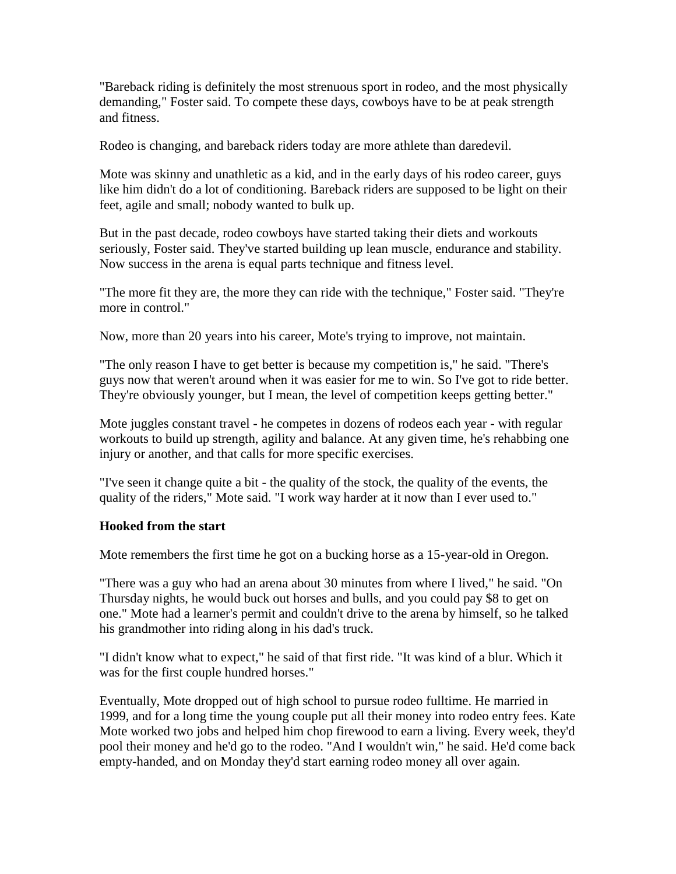"Bareback riding is definitely the most strenuous sport in rodeo, and the most physically demanding," Foster said. To compete these days, cowboys have to be at peak strength and fitness.

Rodeo is changing, and bareback riders today are more athlete than daredevil.

Mote was skinny and unathletic as a kid, and in the early days of his rodeo career, guys like him didn't do a lot of conditioning. Bareback riders are supposed to be light on their feet, agile and small; nobody wanted to bulk up.

But in the past decade, rodeo cowboys have started taking their diets and workouts seriously, Foster said. They've started building up lean muscle, endurance and stability. Now success in the arena is equal parts technique and fitness level.

"The more fit they are, the more they can ride with the technique," Foster said. "They're more in control."

Now, more than 20 years into his career, Mote's trying to improve, not maintain.

"The only reason I have to get better is because my competition is," he said. "There's guys now that weren't around when it was easier for me to win. So I've got to ride better. They're obviously younger, but I mean, the level of competition keeps getting better."

Mote juggles constant travel - he competes in dozens of rodeos each year - with regular workouts to build up strength, agility and balance. At any given time, he's rehabbing one injury or another, and that calls for more specific exercises.

"I've seen it change quite a bit - the quality of the stock, the quality of the events, the quality of the riders," Mote said. "I work way harder at it now than I ever used to."

## **Hooked from the start**

Mote remembers the first time he got on a bucking horse as a 15-year-old in Oregon.

"There was a guy who had an arena about 30 minutes from where I lived," he said. "On Thursday nights, he would buck out horses and bulls, and you could pay \$8 to get on one." Mote had a learner's permit and couldn't drive to the arena by himself, so he talked his grandmother into riding along in his dad's truck.

"I didn't know what to expect," he said of that first ride. "It was kind of a blur. Which it was for the first couple hundred horses."

Eventually, Mote dropped out of high school to pursue rodeo fulltime. He married in 1999, and for a long time the young couple put all their money into rodeo entry fees. Kate Mote worked two jobs and helped him chop firewood to earn a living. Every week, they'd pool their money and he'd go to the rodeo. "And I wouldn't win," he said. He'd come back empty-handed, and on Monday they'd start earning rodeo money all over again.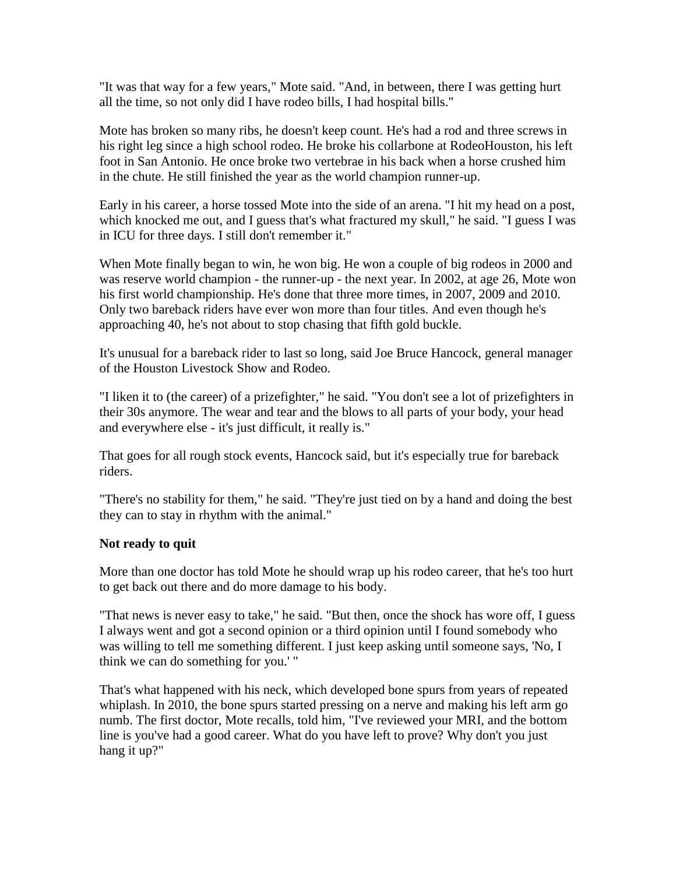"It was that way for a few years," Mote said. "And, in between, there I was getting hurt all the time, so not only did I have rodeo bills, I had hospital bills."

Mote has broken so many ribs, he doesn't keep count. He's had a rod and three screws in his right leg since a high school rodeo. He broke his collarbone at RodeoHouston, his left foot in San Antonio. He once broke two vertebrae in his back when a horse crushed him in the chute. He still finished the year as the world champion runner-up.

Early in his career, a horse tossed Mote into the side of an arena. "I hit my head on a post, which knocked me out, and I guess that's what fractured my skull," he said. "I guess I was in ICU for three days. I still don't remember it."

When Mote finally began to win, he won big. He won a couple of big rodeos in 2000 and was reserve world champion - the runner-up - the next year. In 2002, at age 26, Mote won his first world championship. He's done that three more times, in 2007, 2009 and 2010. Only two bareback riders have ever won more than four titles. And even though he's approaching 40, he's not about to stop chasing that fifth gold buckle.

It's unusual for a bareback rider to last so long, said Joe Bruce Hancock, general manager of the Houston Livestock Show and Rodeo.

"I liken it to (the career) of a prizefighter," he said. "You don't see a lot of prizefighters in their 30s anymore. The wear and tear and the blows to all parts of your body, your head and everywhere else - it's just difficult, it really is."

That goes for all rough stock events, Hancock said, but it's especially true for bareback riders.

"There's no stability for them," he said. "They're just tied on by a hand and doing the best they can to stay in rhythm with the animal."

## **Not ready to quit**

More than one doctor has told Mote he should wrap up his rodeo career, that he's too hurt to get back out there and do more damage to his body.

"That news is never easy to take," he said. "But then, once the shock has wore off, I guess I always went and got a second opinion or a third opinion until I found somebody who was willing to tell me something different. I just keep asking until someone says, 'No, I think we can do something for you.' "

That's what happened with his neck, which developed bone spurs from years of repeated whiplash. In 2010, the bone spurs started pressing on a nerve and making his left arm go numb. The first doctor, Mote recalls, told him, "I've reviewed your MRI, and the bottom line is you've had a good career. What do you have left to prove? Why don't you just hang it up?"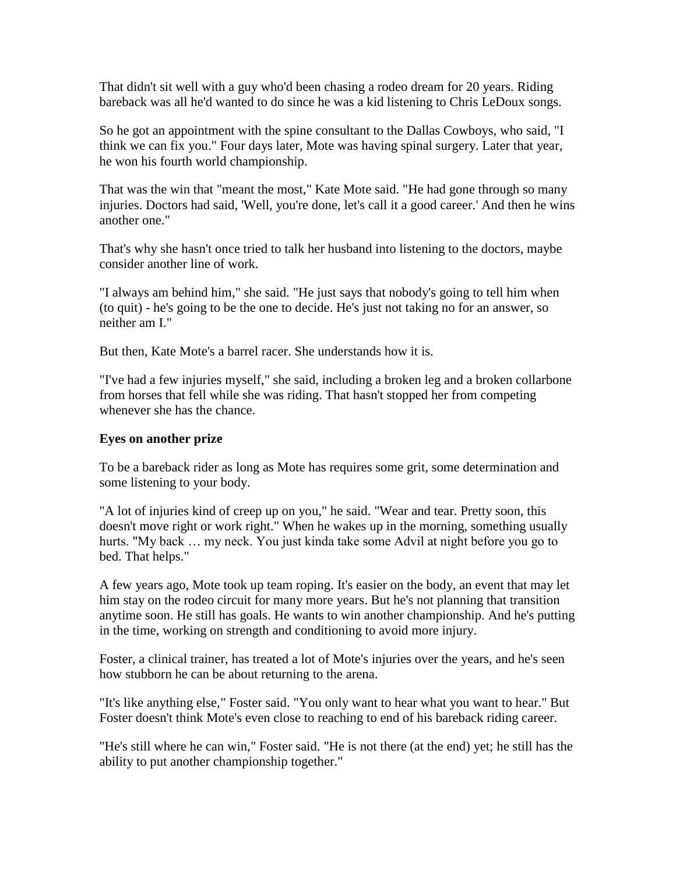That didn't sit well with a guy who'd been chasing a rodeo dream for 20 years. Riding bareback was all he'd wanted to do since he was a kid listening to Chris LeDoux songs.

So he got an appointment with the spine consultant to the Dallas Cowboys, who said, "I think we can fix you." Four days later, Mote was having spinal surgery. Later that year, he won his fourth world championship.

That was the win that "meant the most," Kate Mote said. "He had gone through so many injuries. Doctors had said, 'Well, you're done, let's call it a good career.' And then he wins another one."

That's why she hasn't once tried to talk her husband into listening to the doctors, maybe consider another line of work.

"I always am behind him," she said. "He just says that nobody's going to tell him when (to quit) - he's going to be the one to decide. He's just not taking no for an answer, so neither am I."

But then, Kate Mote's a barrel racer. She understands how it is.

"I've had a few injuries myself," she said, including a broken leg and a broken collarbone from horses that fell while she was riding. That hasn't stopped her from competing whenever she has the chance.

### **Eyes on another prize**

To be a bareback rider as long as Mote has requires some grit, some determination and some listening to your body.

"A lot of injuries kind of creep up on you," he said. "Wear and tear. Pretty soon, this doesn't move right or work right." When he wakes up in the morning, something usually hurts. "My back ... my neck. You just kinda take some Advil at night before you go to bed. That helps."

A few years ago, Mote took up team roping. It's easier on the body, an event that may let him stay on the rodeo circuit for many more years. But he's not planning that transition anytime soon. He still has goals. He wants to win another championship. And he's putting in the time, working on strength and conditioning to avoid more injury.

Foster, a clinical trainer, has treated a lot of Mote's injuries over the years, and he's seen how stubborn he can be about returning to the arena.

"It's like anything else," Foster said. "You only want to hear what you want to hear." But Foster doesn't think Mote's even close to reaching to end of his bareback riding career.

"He's still where he can win," Foster said. "He is not there (at the end) yet; he still has the ability to put another championship together."